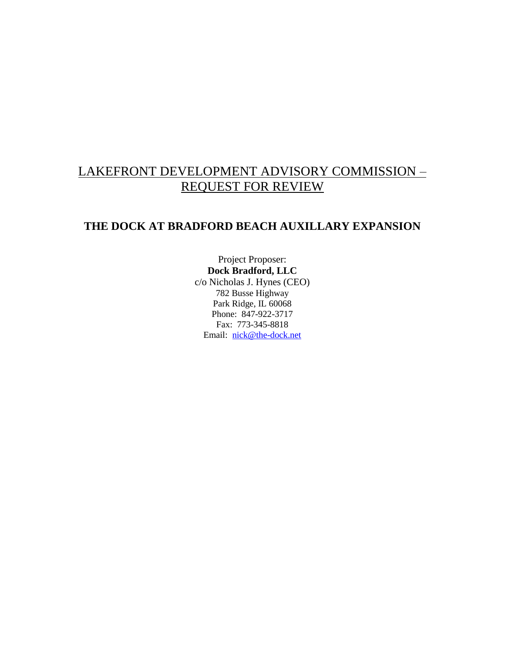## LAKEFRONT DEVELOPMENT ADVISORY COMMISSION – REQUEST FOR REVIEW

## **THE DOCK AT BRADFORD BEACH AUXILLARY EXPANSION**

Project Proposer: **Dock Bradford, LLC** c/o Nicholas J. Hynes (CEO) 782 Busse Highway Park Ridge, IL 60068 Phone: 847-922-3717 Fax: 773-345-8818 Email: [nick@the-dock.net](mailto:nick@the-dock.net)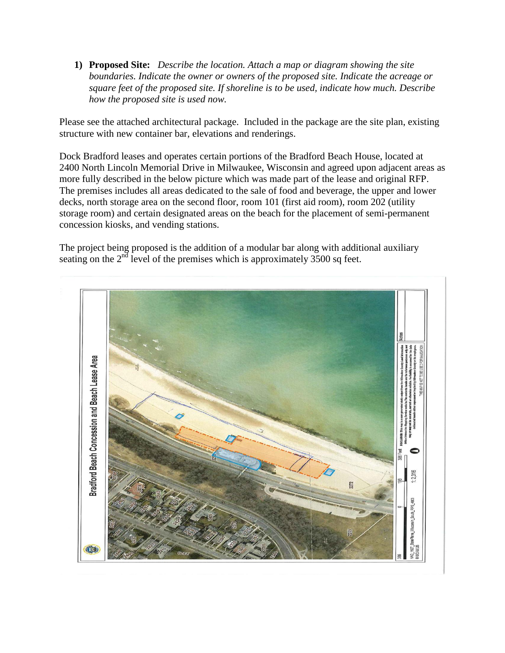**1) Proposed Site:** *Describe the location. Attach a map or diagram showing the site boundaries. Indicate the owner or owners of the proposed site. Indicate the acreage or square feet of the proposed site. If shoreline is to be used, indicate how much. Describe how the proposed site is used now.* 

Please see the attached architectural package. Included in the package are the site plan, existing structure with new container bar, elevations and renderings.

Dock Bradford leases and operates certain portions of the Bradford Beach House, located at 2400 North Lincoln Memorial Drive in Milwaukee, Wisconsin and agreed upon adjacent areas as more fully described in the below picture which was made part of the lease and original RFP. The premises includes all areas dedicated to the sale of food and beverage, the upper and lower decks, north storage area on the second floor, room 101 (first aid room), room 202 (utility storage room) and certain designated areas on the beach for the placement of semi-permanent concession kiosks, and vending stations.

The project being proposed is the addition of a modular bar along with additional auxiliary seating on the  $2<sup>nd</sup>$  level of the premises which is approximately 3500 sq feet.

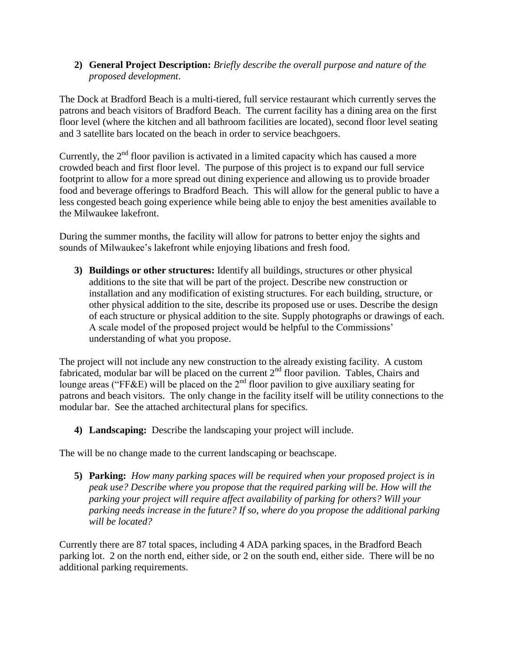**2) General Project Description:** *Briefly describe the overall purpose and nature of the proposed development*.

The Dock at Bradford Beach is a multi-tiered, full service restaurant which currently serves the patrons and beach visitors of Bradford Beach. The current facility has a dining area on the first floor level (where the kitchen and all bathroom facilities are located), second floor level seating and 3 satellite bars located on the beach in order to service beachgoers.

Currently, the  $2<sup>nd</sup>$  floor pavilion is activated in a limited capacity which has caused a more crowded beach and first floor level. The purpose of this project is to expand our full service footprint to allow for a more spread out dining experience and allowing us to provide broader food and beverage offerings to Bradford Beach. This will allow for the general public to have a less congested beach going experience while being able to enjoy the best amenities available to the Milwaukee lakefront.

During the summer months, the facility will allow for patrons to better enjoy the sights and sounds of Milwaukee's lakefront while enjoying libations and fresh food.

**3) Buildings or other structures:** Identify all buildings, structures or other physical additions to the site that will be part of the project. Describe new construction or installation and any modification of existing structures. For each building, structure, or other physical addition to the site, describe its proposed use or uses. Describe the design of each structure or physical addition to the site. Supply photographs or drawings of each. A scale model of the proposed project would be helpful to the Commissions' understanding of what you propose.

The project will not include any new construction to the already existing facility. A custom fabricated, modular bar will be placed on the current 2<sup>nd</sup> floor pavilion. Tables, Chairs and lounge areas ("FF&E) will be placed on the  $2<sup>nd</sup>$  floor pavilion to give auxiliary seating for patrons and beach visitors. The only change in the facility itself will be utility connections to the modular bar. See the attached architectural plans for specifics.

**4) Landscaping:** Describe the landscaping your project will include.

The will be no change made to the current landscaping or beachscape.

**5) Parking:** *How many parking spaces will be required when your proposed project is in peak use? Describe where you propose that the required parking will be. How will the parking your project will require affect availability of parking for others? Will your parking needs increase in the future? If so, where do you propose the additional parking will be located?*

Currently there are 87 total spaces, including 4 ADA parking spaces, in the Bradford Beach parking lot. 2 on the north end, either side, or 2 on the south end, either side. There will be no additional parking requirements.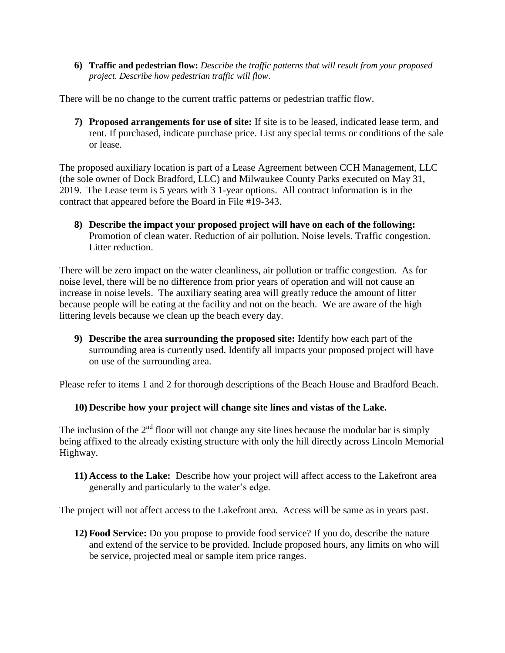**6) Traffic and pedestrian flow:** *Describe the traffic patterns that will result from your proposed project. Describe how pedestrian traffic will flow*.

There will be no change to the current traffic patterns or pedestrian traffic flow.

**7) Proposed arrangements for use of site:** If site is to be leased, indicated lease term, and rent. If purchased, indicate purchase price. List any special terms or conditions of the sale or lease.

The proposed auxiliary location is part of a Lease Agreement between CCH Management, LLC (the sole owner of Dock Bradford, LLC) and Milwaukee County Parks executed on May 31, 2019. The Lease term is 5 years with 3 1-year options. All contract information is in the contract that appeared before the Board in File #19-343.

**8) Describe the impact your proposed project will have on each of the following:** Promotion of clean water. Reduction of air pollution. Noise levels. Traffic congestion. Litter reduction.

There will be zero impact on the water cleanliness, air pollution or traffic congestion. As for noise level, there will be no difference from prior years of operation and will not cause an increase in noise levels. The auxiliary seating area will greatly reduce the amount of litter because people will be eating at the facility and not on the beach. We are aware of the high littering levels because we clean up the beach every day.

**9) Describe the area surrounding the proposed site:** Identify how each part of the surrounding area is currently used. Identify all impacts your proposed project will have on use of the surrounding area.

Please refer to items 1 and 2 for thorough descriptions of the Beach House and Bradford Beach.

## **10) Describe how your project will change site lines and vistas of the Lake.**

The inclusion of the  $2<sup>nd</sup>$  floor will not change any site lines because the modular bar is simply being affixed to the already existing structure with only the hill directly across Lincoln Memorial Highway.

**11) Access to the Lake:** Describe how your project will affect access to the Lakefront area generally and particularly to the water's edge.

The project will not affect access to the Lakefront area. Access will be same as in years past.

**12) Food Service:** Do you propose to provide food service? If you do, describe the nature and extend of the service to be provided. Include proposed hours, any limits on who will be service, projected meal or sample item price ranges.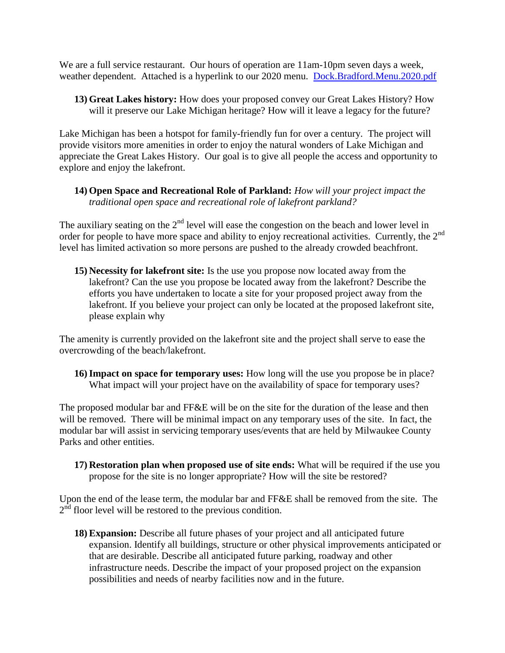We are a full service restaurant. Our hours of operation are 11am-10pm seven days a week, weather dependent. Attached is a hyperlink to our 2020 menu. [Dock.Bradford.Menu.2020.pdf](file:///C:/Users/Nick/Downloads/Dock.Bradford.Menu.2020.pdf)

**13) Great Lakes history:** How does your proposed convey our Great Lakes History? How will it preserve our Lake Michigan heritage? How will it leave a legacy for the future?

Lake Michigan has been a hotspot for family-friendly fun for over a century. The project will provide visitors more amenities in order to enjoy the natural wonders of Lake Michigan and appreciate the Great Lakes History. Our goal is to give all people the access and opportunity to explore and enjoy the lakefront.

**14) Open Space and Recreational Role of Parkland:** *How will your project impact the traditional open space and recreational role of lakefront parkland?*

The auxiliary seating on the  $2<sup>nd</sup>$  level will ease the congestion on the beach and lower level in order for people to have more space and ability to enjoy recreational activities. Currently, the 2<sup>nd</sup> level has limited activation so more persons are pushed to the already crowded beachfront.

**15) Necessity for lakefront site:** Is the use you propose now located away from the lakefront? Can the use you propose be located away from the lakefront? Describe the efforts you have undertaken to locate a site for your proposed project away from the lakefront. If you believe your project can only be located at the proposed lakefront site, please explain why

The amenity is currently provided on the lakefront site and the project shall serve to ease the overcrowding of the beach/lakefront.

**16)Impact on space for temporary uses:** How long will the use you propose be in place? What impact will your project have on the availability of space for temporary uses?

The proposed modular bar and FF&E will be on the site for the duration of the lease and then will be removed. There will be minimal impact on any temporary uses of the site. In fact, the modular bar will assist in servicing temporary uses/events that are held by Milwaukee County Parks and other entities.

**17) Restoration plan when proposed use of site ends:** What will be required if the use you propose for the site is no longer appropriate? How will the site be restored?

Upon the end of the lease term, the modular bar and FF&E shall be removed from the site. The  $2<sup>nd</sup>$  floor level will be restored to the previous condition.

**18)Expansion:** Describe all future phases of your project and all anticipated future expansion. Identify all buildings, structure or other physical improvements anticipated or that are desirable. Describe all anticipated future parking, roadway and other infrastructure needs. Describe the impact of your proposed project on the expansion possibilities and needs of nearby facilities now and in the future.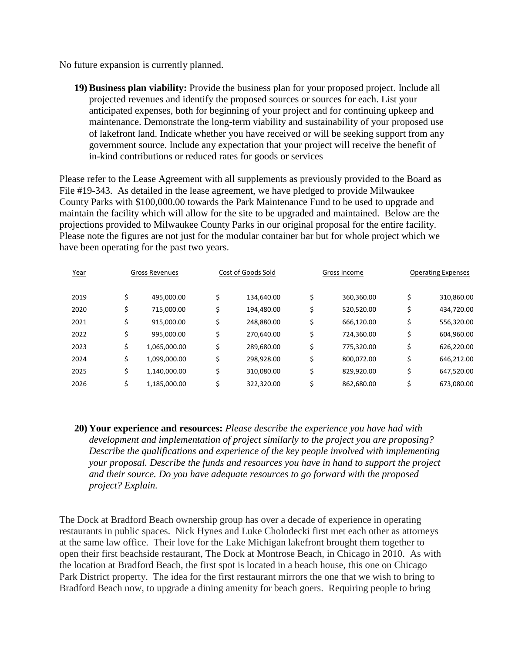No future expansion is currently planned.

**19) Business plan viability:** Provide the business plan for your proposed project. Include all projected revenues and identify the proposed sources or sources for each. List your anticipated expenses, both for beginning of your project and for continuing upkeep and maintenance. Demonstrate the long-term viability and sustainability of your proposed use of lakefront land. Indicate whether you have received or will be seeking support from any government source. Include any expectation that your project will receive the benefit of in-kind contributions or reduced rates for goods or services

Please refer to the Lease Agreement with all supplements as previously provided to the Board as File #19-343. As detailed in the lease agreement, we have pledged to provide Milwaukee County Parks with \$100,000.00 towards the Park Maintenance Fund to be used to upgrade and maintain the facility which will allow for the site to be upgraded and maintained. Below are the projections provided to Milwaukee County Parks in our original proposal for the entire facility. Please note the figures are not just for the modular container bar but for whole project which we have been operating for the past two years.

| Year | <b>Gross Revenues</b> |              | Cost of Goods Sold |            | Gross Income |            | <b>Operating Expenses</b> |            |
|------|-----------------------|--------------|--------------------|------------|--------------|------------|---------------------------|------------|
| 2019 | \$                    | 495,000.00   |                    | 134,640.00 | \$           | 360,360.00 | \$                        | 310,860.00 |
| 2020 | \$                    | 715,000.00   |                    | 194,480.00 | \$           | 520,520.00 | \$                        | 434,720.00 |
| 2021 | \$                    | 915,000.00   |                    | 248,880.00 | \$           | 666,120.00 | \$                        | 556,320.00 |
| 2022 | \$                    | 995,000.00   | Ś                  | 270,640.00 | \$           | 724,360.00 | \$                        | 604,960.00 |
| 2023 | \$                    | 1,065,000.00 |                    | 289,680.00 | \$           | 775,320.00 | \$                        | 626,220.00 |
| 2024 | \$                    | 1,099,000.00 |                    | 298,928.00 | \$           | 800,072.00 | \$                        | 646,212.00 |
| 2025 | \$                    | 1,140,000.00 | Ś                  | 310,080.00 | \$           | 829,920.00 | \$                        | 647,520.00 |
| 2026 | \$                    | 1,185,000.00 |                    | 322,320.00 | Ś            | 862,680.00 | Ś                         | 673,080.00 |
|      |                       |              |                    |            |              |            |                           |            |

**20) Your experience and resources:** *Please describe the experience you have had with development and implementation of project similarly to the project you are proposing? Describe the qualifications and experience of the key people involved with implementing your proposal. Describe the funds and resources you have in hand to support the project and their source. Do you have adequate resources to go forward with the proposed project? Explain.*

The Dock at Bradford Beach ownership group has over a decade of experience in operating restaurants in public spaces. Nick Hynes and Luke Cholodecki first met each other as attorneys at the same law office. Their love for the Lake Michigan lakefront brought them together to open their first beachside restaurant, The Dock at Montrose Beach, in Chicago in 2010. As with the location at Bradford Beach, the first spot is located in a beach house, this one on Chicago Park District property. The idea for the first restaurant mirrors the one that we wish to bring to Bradford Beach now, to upgrade a dining amenity for beach goers. Requiring people to bring